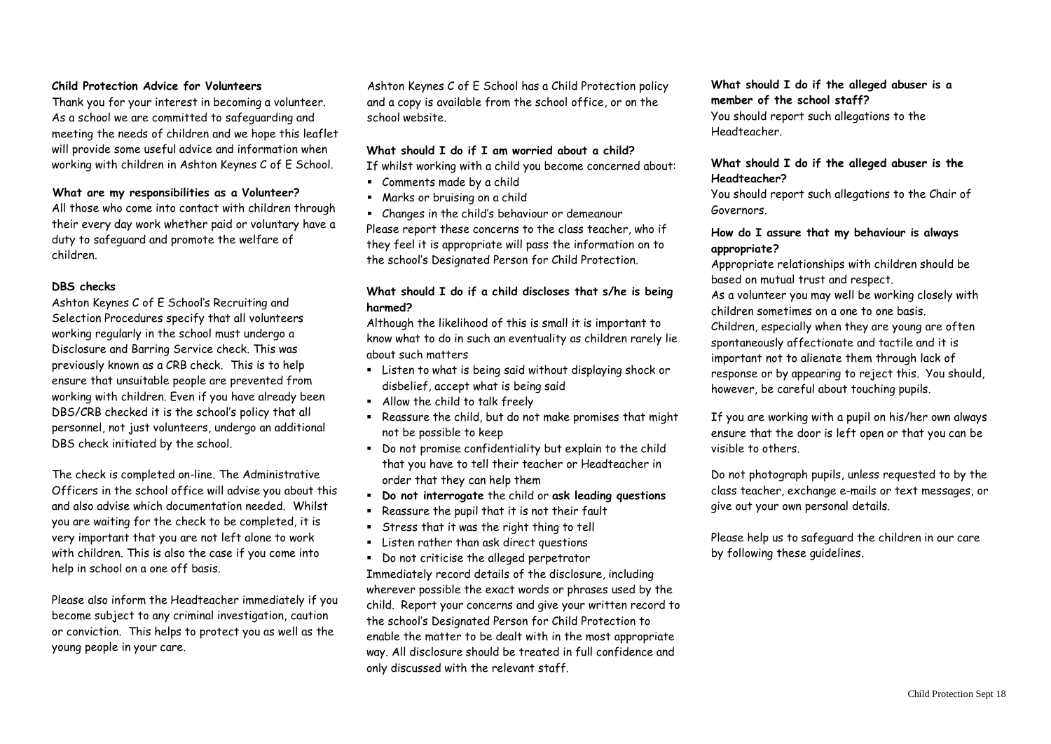# **Child Protection Advice for Volunteers**

Thank you for your interest in becoming a volunteer. As a school we are committed to safeguarding and meeting the needs of children and we hope this leaflet will provide some useful advice and information when working with children in Ashton Keynes C of E School.

#### **What are my responsibilities as a Volunteer?**

All those who come into contact with children through their every day work whether paid or voluntary have a duty to safeguard and promote the welfare of children.

### **DBS checks**

Ashton Keynes C of E School's Recruiting and Selection Procedures specify that all volunteers working regularly in the school must undergo a Disclosure and Barring Service check. This was previously known as a CRB check. This is to help ensure that unsuitable people are prevented from working with children. Even if you have already been DBS/CRB checked it is the school's policy that all personnel, not just volunteers, undergo an additional DBS check initiated by the school.

The check is completed on-line. The Administrative Officers in the school office will advise you about this and also advise which documentation needed. Whilst you are waiting for the check to be completed, it is very important that you are not left alone to work with children. This is also the case if you come into help in school on a one off basis.

Please also inform the Headteacher immediately if you become subject to any criminal investigation, caution or conviction. This helps to protect you as well as the young people in your care.

Ashton Keynes C of E School has a Child Protection policy and a copy is available from the school office, or on the school website.

#### **What should I do if I am worried about a child?**

If whilst working with a child you become concerned about:

- Comments made by a child
- Marks or bruising on a child
- Changes in the child's behaviour or demeanour

Please report these concerns to the class teacher, who if they feel it is appropriate will pass the information on to the school's Designated Person for Child Protection.

# **What should I do if a child discloses that s/he is being harmed?**

Although the likelihood of this is small it is important to know what to do in such an eventuality as children rarely lie about such matters

- Listen to what is being said without displaying shock or disbelief, accept what is being said
- Allow the child to talk freely
- Reassure the child, but do not make promises that might not be possible to keep
- Do not promise confidentiality but explain to the child that you have to tell their teacher or Headteacher in order that they can help them
- **Do not interrogate** the child or **ask leading questions**
- Reassure the pupil that it is not their fault
- **EXTERS** that it was the right thing to tell
- Listen rather than ask direct questions

▪ Do not criticise the alleged perpetrator Immediately record details of the disclosure, including wherever possible the exact words or phrases used by the child. Report your concerns and give your written record to the school's Designated Person for Child Protection to enable the matter to be dealt with in the most appropriate way. All disclosure should be treated in full confidence and only discussed with the relevant staff.

#### **What should I do if the alleged abuser is a member of the school staff?**

You should report such allegations to the Headteacher.

# **What should I do if the alleged abuser is the Headteacher?**

You should report such allegations to the Chair of Governors.

# **How do I assure that my behaviour is always appropriate?**

Appropriate relationships with children should be based on mutual trust and respect.

As a volunteer you may well be working closely with children sometimes on a one to one basis.

Children, especially when they are young are often spontaneously affectionate and tactile and it is important not to alienate them through lack of response or by appearing to reject this. You should, however, be careful about touching pupils.

If you are working with a pupil on his/her own always ensure that the door is left open or that you can be visible to others.

Do not photograph pupils, unless requested to by the class teacher, exchange e-mails or text messages, or give out your own personal details.

Please help us to safeguard the children in our care by following these guidelines.